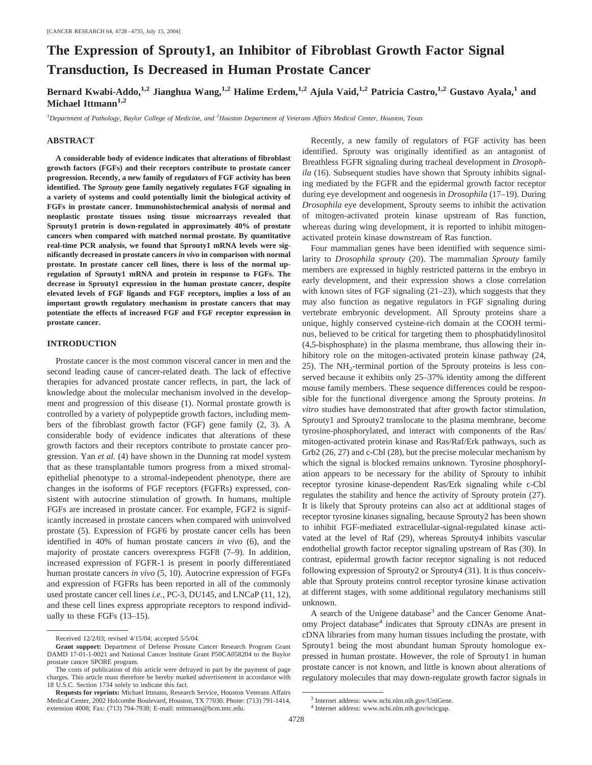# **The Expression of Sprouty1, an Inhibitor of Fibroblast Growth Factor Signal Transduction, Is Decreased in Human Prostate Cancer**

Bernard Kwabi-Addo,<sup>1,2</sup> Jianghua Wang,<sup>1,2</sup> Halime Erdem,<sup>1,2</sup> Ajula Vaid,<sup>1,2</sup> Patricia Castro,<sup>1,2</sup> Gustavo Ayala,<sup>1</sup> and Michael Ittmann<sup>1,2</sup>

*1 Department of Pathology, Baylor College of Medicine, and <sup>2</sup> Houston Department of Veterans Affairs Medical Center, Houston, Texas*

### **ABSTRACT**

**A considerable body of evidence indicates that alterations of fibroblast growth factors (FGFs) and their receptors contribute to prostate cancer progression. Recently, a new family of regulators of FGF activity has been identified. The** *Sprouty* **gene family negatively regulates FGF signaling in a variety of systems and could potentially limit the biological activity of FGFs in prostate cancer. Immunohistochemical analysis of normal and neoplastic prostate tissues using tissue microarrays revealed that Sprouty1 protein is down-regulated in approximately 40% of prostate cancers when compared with matched normal prostate. By quantitative real-time PCR analysis, we found that Sprouty1 mRNA levels were significantly decreased in prostate cancers** *in vivo* **in comparison with normal prostate. In prostate cancer cell lines, there is loss of the normal upregulation of Sprouty1 mRNA and protein in response to FGFs. The decrease in Sprouty1 expression in the human prostate cancer, despite elevated levels of FGF ligands and FGF receptors, implies a loss of an important growth regulatory mechanism in prostate cancers that may potentiate the effects of increased FGF and FGF receptor expression in prostate cancer.**

#### **INTRODUCTION**

Prostate cancer is the most common visceral cancer in men and the second leading cause of cancer-related death. The lack of effective therapies for advanced prostate cancer reflects, in part, the lack of knowledge about the molecular mechanism involved in the development and progression of this disease (1). Normal prostate growth is controlled by a variety of polypeptide growth factors, including members of the fibroblast growth factor (FGF) gene family (2, 3). A considerable body of evidence indicates that alterations of these growth factors and their receptors contribute to prostate cancer progression. Yan *et al.* (4) have shown in the Dunning rat model system that as these transplantable tumors progress from a mixed stromalepithelial phenotype to a stromal-independent phenotype, there are changes in the isoforms of FGF receptors (FGFRs) expressed, consistent with autocrine stimulation of growth. In humans, multiple FGFs are increased in prostate cancer. For example, FGF2 is significantly increased in prostate cancers when compared with uninvolved prostate (5). Expression of FGF6 by prostate cancer cells has been identified in 40% of human prostate cancers *in vivo* (6), and the majority of prostate cancers overexpress FGF8 (7–9). In addition, increased expression of FGFR-1 is present in poorly differentiated human prostate cancers *in vivo* (5, 10). Autocrine expression of FGFs and expression of FGFRs has been reported in all of the commonly used prostate cancer cell lines *i.e.,* PC-3, DU145, and LNCaP (11, 12), and these cell lines express appropriate receptors to respond individually to these FGFs (13–15).

Recently, a new family of regulators of FGF activity has been identified. Sprouty was originally identified as an antagonist of Breathless FGFR signaling during tracheal development in *Drosophila* (16). Subsequent studies have shown that Sprouty inhibits signaling mediated by the FGFR and the epidermal growth factor receptor during eye development and oogenesis in *Drosophila* (17–19). During *Drosophila* eye development, Sprouty seems to inhibit the activation of mitogen-activated protein kinase upstream of Ras function, whereas during wing development, it is reported to inhibit mitogenactivated protein kinase downstream of Ras function.

Four mammalian genes have been identified with sequence similarity to *Drosophila sprouty* (20). The mammalian *Sprouty* family members are expressed in highly restricted patterns in the embryo in early development, and their expression shows a close correlation with known sites of FGF signaling (21–23), which suggests that they may also function as negative regulators in FGF signaling during vertebrate embryonic development. All Sprouty proteins share a unique, highly conserved cysteine-rich domain at the COOH terminus, believed to be critical for targeting them to phosphatidylinositol (4,5-bisphosphate) in the plasma membrane, thus allowing their inhibitory role on the mitogen-activated protein kinase pathway (24, 25). The  $NH_2$ -terminal portion of the Sprouty proteins is less conserved because it exhibits only 25–37% identity among the different mouse family members. These sequence differences could be responsible for the functional divergence among the Sprouty proteins. *In vitro* studies have demonstrated that after growth factor stimulation, Sprouty1 and Sprouty2 translocate to the plasma membrane, become tyrosine-phosphorylated, and interact with components of the Ras/ mitogen-activated protein kinase and Ras/Raf/Erk pathways, such as Grb2 (26, 27) and c-Cbl (28), but the precise molecular mechanism by which the signal is blocked remains unknown. Tyrosine phosphorylation appears to be necessary for the ability of Sprouty to inhibit receptor tyrosine kinase-dependent Ras/Erk signaling while c-Cbl regulates the stability and hence the activity of Sprouty protein (27). It is likely that Sprouty proteins can also act at additional stages of receptor tyrosine kinases signaling, because Sprouty2 has been shown to inhibit FGF-mediated extracellular-signal-regulated kinase activated at the level of Raf (29), whereas Sprouty4 inhibits vascular endothelial growth factor receptor signaling upstream of Ras (30). In contrast, epidermal growth factor receptor signaling is not reduced following expression of Sprouty2 or Sprouty4 (31). It is thus conceivable that Sprouty proteins control receptor tyrosine kinase activation at different stages, with some additional regulatory mechanisms still unknown.

A search of the Unigene database<sup>3</sup> and the Cancer Genome Anatomy Project database<sup>4</sup> indicates that Sprouty cDNAs are present in cDNA libraries from many human tissues including the prostate, with Sprouty1 being the most abundant human Sprouty homologue expressed in human prostate. However, the role of Sprouty1 in human prostate cancer is not known, and little is known about alterations of regulatory molecules that may down-regulate growth factor signals in

Received 12/2/03; revised 4/15/04; accepted 5/5/04.

**Grant support:** Department of Defense Prostate Cancer Research Program Grant DAMD 17-01-1-0021 and National Cancer Institute Grant P50CA058204 to the Baylor prostate cancer SPORE program.

The costs of publication of this article were defrayed in part by the payment of page charges. This article must therefore be hereby marked *advertisement* in accordance with 18 U.S.C. Section 1734 solely to indicate this fact.

**Requests for reprints:** Michael Ittmann, Research Service, Houston Veterans Affairs Medical Center, 2002 Holcombe Boulevard, Houston, TX 77030. Phone: (713) 791-1414, extension 4008; Fax: (713) 794-7938; E-mail: mittmann@bcm.tmc.edu.

<sup>3</sup> Internet address: www.ncbi.nlm.nih.gov/UniGene.

<sup>&</sup>lt;sup>4</sup> Internet address: www.ncbi.nlm.nih.gov/ncicgap.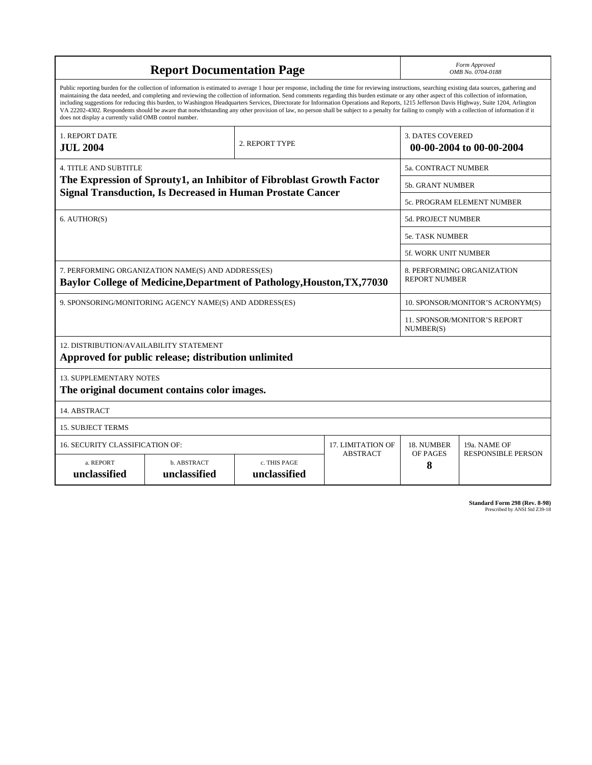| <b>Report Documentation Page</b>                                                                                                                                                                                                                                                                                                                                                                                                                                                                                                                                                                                                                                                                                                                                                                                                                                   |                             |                              |                 | Form Approved<br>OMB No. 0704-0188                  |                           |
|--------------------------------------------------------------------------------------------------------------------------------------------------------------------------------------------------------------------------------------------------------------------------------------------------------------------------------------------------------------------------------------------------------------------------------------------------------------------------------------------------------------------------------------------------------------------------------------------------------------------------------------------------------------------------------------------------------------------------------------------------------------------------------------------------------------------------------------------------------------------|-----------------------------|------------------------------|-----------------|-----------------------------------------------------|---------------------------|
| Public reporting burden for the collection of information is estimated to average 1 hour per response, including the time for reviewing instructions, searching existing data sources, gathering and<br>maintaining the data needed, and completing and reviewing the collection of information. Send comments regarding this burden estimate or any other aspect of this collection of information,<br>including suggestions for reducing this burden, to Washington Headquarters Services, Directorate for Information Operations and Reports, 1215 Jefferson Davis Highway, Suite 1204, Arlington<br>VA 22202-4302. Respondents should be aware that notwithstanding any other provision of law, no person shall be subject to a penalty for failing to comply with a collection of information if it<br>does not display a currently valid OMB control number. |                             |                              |                 |                                                     |                           |
| 1. REPORT DATE<br><b>JUL 2004</b>                                                                                                                                                                                                                                                                                                                                                                                                                                                                                                                                                                                                                                                                                                                                                                                                                                  | 2. REPORT TYPE              |                              |                 | <b>3. DATES COVERED</b><br>00-00-2004 to 00-00-2004 |                           |
| <b>4. TITLE AND SUBTITLE</b>                                                                                                                                                                                                                                                                                                                                                                                                                                                                                                                                                                                                                                                                                                                                                                                                                                       |                             |                              |                 | 5a. CONTRACT NUMBER                                 |                           |
| The Expression of Sprouty1, an Inhibitor of Fibroblast Growth Factor                                                                                                                                                                                                                                                                                                                                                                                                                                                                                                                                                                                                                                                                                                                                                                                               |                             |                              |                 | 5b. GRANT NUMBER                                    |                           |
| <b>Signal Transduction, Is Decreased in Human Prostate Cancer</b>                                                                                                                                                                                                                                                                                                                                                                                                                                                                                                                                                                                                                                                                                                                                                                                                  |                             |                              |                 | 5c. PROGRAM ELEMENT NUMBER                          |                           |
| 6. AUTHOR(S)                                                                                                                                                                                                                                                                                                                                                                                                                                                                                                                                                                                                                                                                                                                                                                                                                                                       |                             |                              |                 | <b>5d. PROJECT NUMBER</b>                           |                           |
|                                                                                                                                                                                                                                                                                                                                                                                                                                                                                                                                                                                                                                                                                                                                                                                                                                                                    |                             |                              |                 | <b>5e. TASK NUMBER</b>                              |                           |
|                                                                                                                                                                                                                                                                                                                                                                                                                                                                                                                                                                                                                                                                                                                                                                                                                                                                    |                             |                              |                 | <b>5f. WORK UNIT NUMBER</b>                         |                           |
| 7. PERFORMING ORGANIZATION NAME(S) AND ADDRESS(ES)<br>Baylor College of Medicine, Department of Pathology, Houston, TX, 77030                                                                                                                                                                                                                                                                                                                                                                                                                                                                                                                                                                                                                                                                                                                                      |                             |                              |                 | 8. PERFORMING ORGANIZATION<br><b>REPORT NUMBER</b>  |                           |
| 9. SPONSORING/MONITORING AGENCY NAME(S) AND ADDRESS(ES)                                                                                                                                                                                                                                                                                                                                                                                                                                                                                                                                                                                                                                                                                                                                                                                                            |                             |                              |                 | 10. SPONSOR/MONITOR'S ACRONYM(S)                    |                           |
|                                                                                                                                                                                                                                                                                                                                                                                                                                                                                                                                                                                                                                                                                                                                                                                                                                                                    |                             |                              |                 | 11. SPONSOR/MONITOR'S REPORT<br>NUMBER(S)           |                           |
| 12. DISTRIBUTION/AVAILABILITY STATEMENT<br>Approved for public release; distribution unlimited                                                                                                                                                                                                                                                                                                                                                                                                                                                                                                                                                                                                                                                                                                                                                                     |                             |                              |                 |                                                     |                           |
| <b>13. SUPPLEMENTARY NOTES</b><br>The original document contains color images.                                                                                                                                                                                                                                                                                                                                                                                                                                                                                                                                                                                                                                                                                                                                                                                     |                             |                              |                 |                                                     |                           |
| 14. ABSTRACT                                                                                                                                                                                                                                                                                                                                                                                                                                                                                                                                                                                                                                                                                                                                                                                                                                                       |                             |                              |                 |                                                     |                           |
| <b>15. SUBJECT TERMS</b>                                                                                                                                                                                                                                                                                                                                                                                                                                                                                                                                                                                                                                                                                                                                                                                                                                           |                             |                              |                 |                                                     |                           |
| 16. SECURITY CLASSIFICATION OF:<br>17. LIMITATION OF                                                                                                                                                                                                                                                                                                                                                                                                                                                                                                                                                                                                                                                                                                                                                                                                               |                             |                              |                 | 18. NUMBER                                          | 19a. NAME OF              |
| a. REPORT<br>unclassified                                                                                                                                                                                                                                                                                                                                                                                                                                                                                                                                                                                                                                                                                                                                                                                                                                          | b. ABSTRACT<br>unclassified | c. THIS PAGE<br>unclassified | <b>ABSTRACT</b> | OF PAGES<br>8                                       | <b>RESPONSIBLE PERSON</b> |

**Standard Form 298 (Rev. 8-98)**<br>Prescribed by ANSI Std Z39-18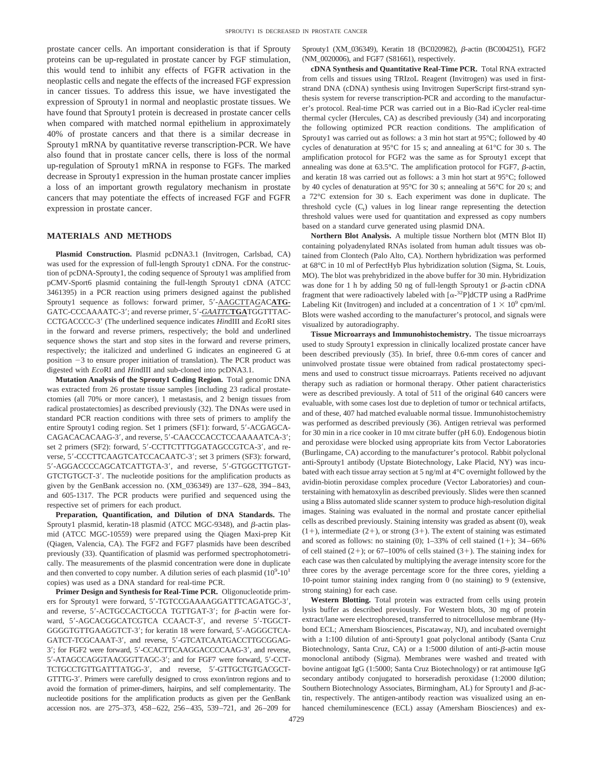prostate cancer cells. An important consideration is that if Sprouty proteins can be up-regulated in prostate cancer by FGF stimulation, this would tend to inhibit any effects of FGFR activation in the neoplastic cells and negate the effects of the increased FGF expression in cancer tissues. To address this issue, we have investigated the expression of Sprouty1 in normal and neoplastic prostate tissues. We have found that Sprouty1 protein is decreased in prostate cancer cells when compared with matched normal epithelium in approximately 40% of prostate cancers and that there is a similar decrease in Sprouty1 mRNA by quantitative reverse transcription-PCR. We have also found that in prostate cancer cells, there is loss of the normal up-regulation of Sprouty1 mRNA in response to FGFs. The marked decrease in Sprouty1 expression in the human prostate cancer implies a loss of an important growth regulatory mechanism in prostate cancers that may potentiate the effects of increased FGF and FGFR expression in prostate cancer.

## **MATERIALS AND METHODS**

**Plasmid Construction.** Plasmid pcDNA3.1 (Invitrogen, Carlsbad, CA) was used for the expression of full-length Sprouty1 cDNA. For the construction of pcDNA-Sprouty1, the coding sequence of Sprouty1 was amplified from pCMV-Sport6 plasmid containing the full-length Sprouty1 cDNA (ATCC 3461395) in a PCR reaction using primers designed against the published Sprouty1 sequence as follows: forward primer,  $5'$ -AAGCTTAGACATG-GATC-CCCAAAATC-3'; and reverse primer, 5'-GAATTCTGATGGTTTAC-CCTGACCCC-3 (The underlined sequence indicates *Hin*dIII and *Eco*RI sites in the forward and reverse primers, respectively; the bold and underlined sequence shows the start and stop sites in the forward and reverse primers, respectively; the italicized and underlined G indicates an engineered G at position  $-3$  to ensure proper initiation of translation). The PCR product was digested with *Eco*RI and *Hin*dIII and sub-cloned into pcDNA3.1.

**Mutation Analysis of the Sprouty1 Coding Region.** Total genomic DNA was extracted from 26 prostate tissue samples [including 23 radical prostatectomies (all 70% or more cancer), 1 metastasis, and 2 benign tissues from radical prostatectomies] as described previously (32). The DNAs were used in standard PCR reaction conditions with three sets of primers to amplify the entire Sprouty1 coding region. Set 1 primers (SF1): forward, 5-ACGAGCA-CAGACACACAAG-3', and reverse, 5'-CAACCCACCTCCAAAAATCA-3'; set 2 primers (SF2): forward, 5'-CCTTCTTTGGATAGCCGTCA-3', and reverse, 5'-CCCTTCAAGTCATCCACAATC-3'; set 3 primers (SF3): forward, 5-AGGACCCCAGCATCATTGTA-3, and reverse, 5-GTGGCTTGTGT-GTCTGTGCT-3'. The nucleotide positions for the amplification products as given by the GenBank accession no. (XM\_036349) are 137– 628, 394 – 843, and 605-1317. The PCR products were purified and sequenced using the respective set of primers for each product.

**Preparation, Quantification, and Dilution of DNA Standards.** The Sprouty1 plasmid, keratin-18 plasmid (ATCC MGC-9348), and  $\beta$ -actin plasmid (ATCC MGC-10559) were prepared using the Qiagen Maxi-prep Kit (Qiagen, Valencia, CA). The FGF2 and FGF7 plasmids have been described previously (33). Quantification of plasmid was performed spectrophotometrically. The measurements of the plasmid concentration were done in duplicate and then converted to copy number. A dilution series of each plasmid  $(10^9-10^1)$ copies) was used as a DNA standard for real-time PCR.

**Primer Design and Synthesis for Real-Time PCR.** Oligonucleotide primers for Sprouty1 were forward, 5'-TGTCCGAAAAGGATTTCAGATGC-3', and reverse,  $5'$ -ACTGCCACTGCCA TGTTGAT-3'; for  $\beta$ -actin were forward, 5'-AGCACGGCATCGTCA CCAACT-3', and reverse 5'-TGGCT-GGGGTGTTGAAGGTCT-3'; for keratin 18 were forward, 5'-AGGGCTCA-GATCT-TCGCAAAT-3', and reverse, 5'-GTCATCAATGACCTTGCGGAG-3'; for FGF2 were forward, 5'-CCACTTCAAGGACCCCAAG-3', and reverse, 5-ATAGCCAGGTAACGGTTAGC-3; and for FGF7 were forward, 5-CCT-TCTGCCTGTTGATTTATGG-3', and reverse, 5'-GTTGCTGTGACGCT-GTTTG-3. Primers were carefully designed to cross exon/intron regions and to avoid the formation of primer-dimers, hairpins, and self complementarity. The nucleotide positions for the amplification products as given per the GenBank accession nos. are 275–373, 458– 622, 256– 435, 539–721, and 26–209 for Sprouty1 (XM\_036349), Keratin 18 (BC020982),  $\beta$ -actin (BC004251), FGF2 (NM\_0020006), and FGF7 (S81661), respectively.

**cDNA Synthesis and Quantitative Real-Time PCR.** Total RNA extracted from cells and tissues using TRIzoL Reagent (Invitrogen) was used in firststrand DNA (cDNA) synthesis using Invitrogen SuperScript first-strand synthesis system for reverse transcription-PCR and according to the manufacturer's protocol. Real-time PCR was carried out in a Bio-Rad iCycler real-time thermal cycler (Hercules, CA) as described previously (34) and incorporating the following optimized PCR reaction conditions. The amplification of Sprouty1 was carried out as follows: a 3 min hot start at 95°C; followed by 40 cycles of denaturation at 95°C for 15 s; and annealing at 61°C for 30 s. The amplification protocol for FGF2 was the same as for Sprouty1 except that annealing was done at  $63.5^{\circ}$ C. The amplification protocol for FGF7,  $\beta$ -actin, and keratin 18 was carried out as follows: a 3 min hot start at 95°C; followed by 40 cycles of denaturation at 95°C for 30 s; annealing at 56°C for 20 s; and a 72°C extension for 30 s. Each experiment was done in duplicate. The threshold cycle  $(C_t)$  values in log linear range representing the detection threshold values were used for quantitation and expressed as copy numbers based on a standard curve generated using plasmid DNA.

**Northern Blot Analysis.** A multiple tissue Northern blot (MTN Blot II) containing polyadenylated RNAs isolated from human adult tissues was obtained from Clontech (Palo Alto, CA). Northern hybridization was performed at 68°C in 10 ml of PerfectHyb Plus hybridization solution (Sigma, St. Louis, MO). The blot was prehybridized in the above buffer for 30 min. Hybridization was done for 1 h by adding 50 ng of full-length Sprouty1 or  $\beta$ -actin cDNA fragment that were radioactively labeled with  $[\alpha^{-32}P]$ dCTP using a RadPrime Labeling Kit (Invitrogen) and included at a concentration of  $1 \times 10^9$  cpm/ml. Blots were washed according to the manufacturer's protocol, and signals were visualized by autoradiography.

**Tissue Microarrays and Immunohistochemistry.** The tissue microarrays used to study Sprouty1 expression in clinically localized prostate cancer have been described previously (35). In brief, three 0.6-mm cores of cancer and uninvolved prostate tissue were obtained from radical prostatectomy specimens and used to construct tissue microarrays. Patients received no adjuvant therapy such as radiation or hormonal therapy. Other patient characteristics were as described previously. A total of 511 of the original 640 cancers were evaluable, with some cases lost due to depletion of tumor or technical artifacts, and of these, 407 had matched evaluable normal tissue. Immunohistochemistry was performed as described previously (36). Antigen retrieval was performed for 30 min in a rice cooker in 10 mM citrate buffer (pH 6.0). Endogenous biotin and peroxidase were blocked using appropriate kits from Vector Laboratories (Burlingame, CA) according to the manufacturer's protocol. Rabbit polyclonal anti-Sprouty1 antibody (Upstate Biotechnology, Lake Placid, NY) was incubated with each tissue array section at 5 ng/ml at 4°C overnight followed by the avidin-biotin peroxidase complex procedure (Vector Laboratories) and counterstaining with hematoxylin as described previously. Slides were then scanned using a Bliss automated slide scanner system to produce high-resolution digital images. Staining was evaluated in the normal and prostate cancer epithelial cells as described previously. Staining intensity was graded as absent (0), weak  $(1+)$ , intermediate  $(2+)$ , or strong  $(3+)$ . The extent of staining was estimated and scored as follows: no staining (0);  $1-33%$  of cell stained (1+);  $34-66%$ of cell stained  $(2+)$ ; or 67–100% of cells stained  $(3+)$ . The staining index for each case was then calculated by multiplying the average intensity score for the three cores by the average percentage score for the three cores, yielding a 10-point tumor staining index ranging from 0 (no staining) to 9 (extensive, strong staining) for each case.

**Western Blotting.** Total protein was extracted from cells using protein lysis buffer as described previously. For Western blots, 30 mg of protein extract/lane were electrophoresed, transferred to nitrocellulose membrane (Hybond ECL; Amersham Biosciences, Piscataway, NJ), and incubated overnight with a 1:100 dilution of anti-Sprouty1 goat polyclonal antibody (Santa Cruz Biotechnology, Santa Cruz, CA) or a 1:5000 dilution of anti- $\beta$ -actin mouse monoclonal antibody (Sigma). Membranes were washed and treated with bovine antigoat IgG (1:5000; Santa Cruz Biotechnology) or rat antimouse IgG secondary antibody conjugated to horseradish peroxidase (1:2000 dilution; Southern Biotechnology Associates, Birmingham, AL) for Sprouty1 and  $\beta$ -actin, respectively. The antigen-antibody reaction was visualized using an enhanced chemiluminescence (ECL) assay (Amersham Biosciences) and ex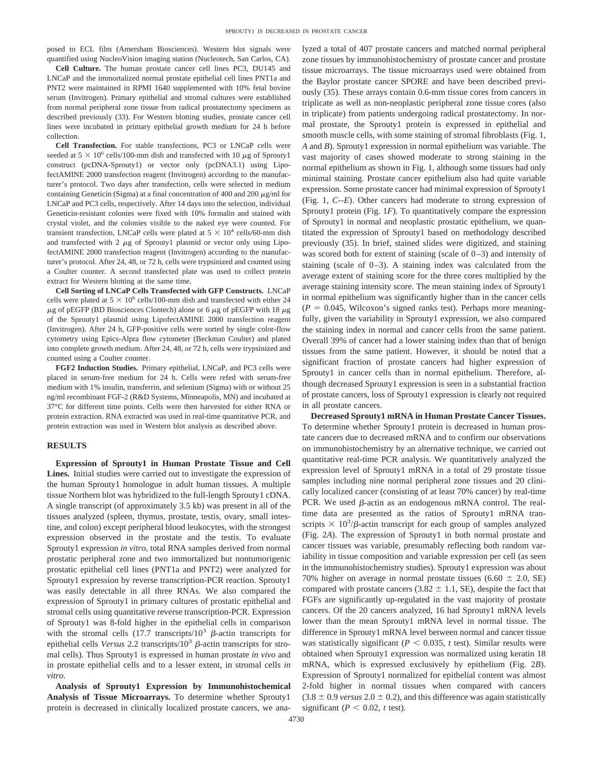posed to ECL film (Amersham Biosciences). Western blot signals were quantified using NucleoVision imaging station (Nucleotech, San Carlos, CA).

**Cell Culture.** The human prostate cancer cell lines PC3, DU145 and LNCaP and the immortalized normal prostate epithelial cell lines PNT1a and PNT2 were maintained in RPMI 1640 supplemented with 10% fetal bovine serum (Invitrogen). Primary epithelial and stromal cultures were established from normal peripheral zone tissue from radical prostatectomy specimens as described previously (33). For Western blotting studies, prostate cancer cell lines were incubated in primary epithelial growth medium for 24 h before collection.

**Cell Transfection.** For stable transfections, PC3 or LNCaP cells were seeded at  $5 \times 10^6$  cells/100-mm dish and transfected with 10  $\mu$ g of Sprouty1 construct (pcDNA-Sprouty1) or vector only (pcDNA3.1) using LipofectAMINE 2000 transfection reagent (Invitrogen) according to the manufacturer's protocol. Two days after transfection, cells were selected in medium containing Geneticin (Sigma) at a final concentration of 400 and 200  $\mu$ g/ml for LNCaP and PC3 cells, respectively. After 14 days into the selection, individual Geneticin-resistant colonies were fixed with 10% formalin and stained with crystal violet, and the colonies visible to the naked eye were counted. For transient transfection, LNCaP cells were plated at  $5 \times 10^4$  cells/60-mm dish and transfected with  $2 \mu g$  of Sprouty1 plasmid or vector only using LipofectAMINE 2000 transfection reagent (Invitrogen) according to the manufacturer's protocol. After 24, 48, or 72 h, cells were trypsinized and counted using a Coulter counter. A second transfected plate was used to collect protein extract for Western blotting at the same time.

**Cell Sorting of LNCaP Cells Transfected with GFP Constructs.** LNCaP cells were plated at  $5 \times 10^6$  cells/100-mm dish and transfected with either 24  $\mu$ g of pEGFP (BD Biosciences Clontech) alone or 6  $\mu$ g of pEGFP with 18  $\mu$ g of the Sprouty1 plasmid using LipofectAMINE 2000 transfection reagent (Invitrogen). After 24 h, GFP-positive cells were sorted by single color-flow cytometry using Epics-Alpra flow cytometer (Beckman Coulter) and plated into complete growth medium. After 24, 48, or 72 h, cells were trypsinized and counted using a Coulter counter.

**FGF2 Induction Studies.** Primary epithelial, LNCaP, and PC3 cells were placed in serum-free medium for 24 h. Cells were refed with serum-free medium with 1% insulin, transferrin, and selenium (Sigma) with or without 25 ng/ml recombinant FGF-2 (R&D Systems, Minneapolis, MN) and incubated at 37°C for different time points. Cells were then harvested for either RNA or protein extraction. RNA extracted was used in real-time quantitative PCR, and protein extraction was used in Western blot analysis as described above.

#### **RESULTS**

**Expression of Sprouty1 in Human Prostate Tissue and Cell Lines.** Initial studies were carried out to investigate the expression of the human Sprouty1 homologue in adult human tissues. A multiple tissue Northern blot was hybridized to the full-length Sprouty1 cDNA. A single transcript (of approximately 3.5 kb) was present in all of the tissues analyzed (spleen, thymus, prostate, testis, ovary, small intestine, and colon) except peripheral blood leukocytes, with the strongest expression observed in the prostate and the testis. To evaluate Sprouty1 expression *in vitro*, total RNA samples derived from normal prostatic peripheral zone and two immortalized but nontumorigenic prostatic epithelial cell lines (PNT1a and PNT2) were analyzed for Sprouty1 expression by reverse transcription-PCR reaction. Sprouty1 was easily detectable in all three RNAs. We also compared the expression of Sprouty1 in primary cultures of prostatic epithelial and stromal cells using quantitative reverse transcription-PCR. Expression of Sprouty1 was 8-fold higher in the epithelial cells in comparison with the stromal cells (17.7 transcripts/10<sup>3</sup>  $\beta$ -actin transcripts for epithelial cells *Versus* 2.2 transcripts/ $10^3$   $\beta$ -actin transcripts for stromal cells). Thus Sprouty1 is expressed in human prostate *in vivo* and in prostate epithelial cells and to a lesser extent, in stromal cells *in vitro*.

**Analysis of Sprouty1 Expression by Immunohistochemical Analysis of Tissue Microarrays.** To determine whether Sprouty1 protein is decreased in clinically localized prostate cancers, we analyzed a total of 407 prostate cancers and matched normal peripheral zone tissues by immunohistochemistry of prostate cancer and prostate tissue microarrays. The tissue microarrays used were obtained from the Baylor prostate cancer SPORE and have been described previously (35). These arrays contain 0.6-mm tissue cores from cancers in triplicate as well as non-neoplastic peripheral zone tissue cores (also in triplicate) from patients undergoing radical prostatectomy. In normal prostate, the Sprouty1 protein is expressed in epithelial and smooth muscle cells, with some staining of stromal fibroblasts (Fig. 1, *A* and *B*). Sprouty1 expression in normal epithelium was variable. The vast majority of cases showed moderate to strong staining in the normal epithelium as shown in Fig. 1, although some tissues had only minimal staining. Prostate cancer epithelium also had quite variable expression. Some prostate cancer had minimal expression of Sprouty1 (Fig. 1, *C-*-*E*). Other cancers had moderate to strong expression of Sprouty1 protein (Fig. 1*F*). To quantitatively compare the expression of Sprouty1 in normal and neoplastic prostatic epithelium, we quantitated the expression of Sprouty1 based on methodology described previously (35). In brief, stained slides were digitized, and staining was scored both for extent of staining (scale of  $0-3$ ) and intensity of staining (scale of  $0-3$ ). A staining index was calculated from the average extent of staining score for the three cores multiplied by the average staining intensity score. The mean staining index of Sprouty1 in normal epithelium was significantly higher than in the cancer cells  $(P = 0.045,$  Wilcoxon's signed ranks test). Perhaps more meaningfully, given the variability in Sprouty1 expression, we also compared the staining index in normal and cancer cells from the same patient. Overall 39% of cancer had a lower staining index than that of benign tissues from the same patient. However, it should be noted that a significant fraction of prostate cancers had higher expression of Sprouty1 in cancer cells than in normal epithelium. Therefore, although decreased Sprouty1 expression is seen in a substantial fraction of prostate cancers, loss of Sprouty1 expression is clearly not required in all prostate cancers.

**Decreased Sprouty1 mRNA in Human Prostate Cancer Tissues.** To determine whether Sprouty1 protein is decreased in human prostate cancers due to decreased mRNA and to confirm our observations on immunohistochemistry by an alternative technique, we carried out quantitative real-time PCR analysis. We quantitatively analyzed the expression level of Sprouty1 mRNA in a total of 29 prostate tissue samples including nine normal peripheral zone tissues and 20 clinically localized cancer (consisting of at least 70% cancer) by real-time PCR. We used  $\beta$ -actin as an endogenous mRNA control. The realtime data are presented as the ratios of Sprouty1 mRNA transcripts  $\times$  10<sup>3</sup>/ $\beta$ -actin transcript for each group of samples analyzed (Fig. 2*A*). The expression of Sprouty1 in both normal prostate and cancer tissues was variable, presumably reflecting both random variability in tissue composition and variable expression per cell (as seen in the immunohistochemistry studies). Sprouty1 expression was about 70% higher on average in normal prostate tissues  $(6.60 \pm 2.0, \text{SE})$ compared with prostate cancers (3.82  $\pm$  1.1, SE), despite the fact that FGFs are significantly up-regulated in the vast majority of prostate cancers. Of the 20 cancers analyzed, 16 had Sprouty1 mRNA levels lower than the mean Sprouty1 mRNA level in normal tissue. The difference in Sprouty1 mRNA level between normal and cancer tissue was statistically significant ( $P < 0.035$ ,  $t$  test). Similar results were obtained when Sprouty1 expression was normalized using keratin 18 mRNA, which is expressed exclusively by epithelium (Fig. 2*B*). Expression of Sprouty1 normalized for epithelial content was almost 2-fold higher in normal tissues when compared with cancers  $(3.8 \pm 0.9 \text{ versus } 2.0 \pm 0.2)$ , and this difference was again statistically significant ( $P < 0.02$ , *t* test).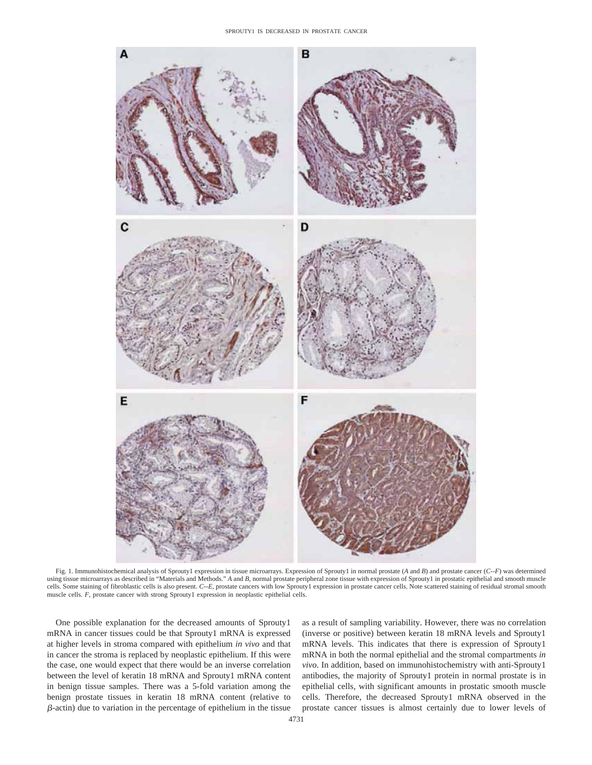

Fig. 1. Immunohistochemical analysis of Sprouty1 expression in tissue microarrays. Expression of Sprouty1 in normal prostate (*A* and *B*) and prostate cancer (*C-*-*F*) was determined using tissue microarrays as described in "Materials and Methods." *A* and *B,* normal prostate peripheral zone tissue with expression of Sprouty1 in prostatic epithelial and smooth muscle cells. Some staining of fibroblastic cells is also present. *C-*-*E,* prostate cancers with low Sprouty1 expression in prostate cancer cells. Note scattered staining of residual stromal smooth muscle cells. *F,* prostate cancer with strong Sprouty1 expression in neoplastic epithelial cells.

One possible explanation for the decreased amounts of Sprouty1 mRNA in cancer tissues could be that Sprouty1 mRNA is expressed at higher levels in stroma compared with epithelium *in vivo* and that in cancer the stroma is replaced by neoplastic epithelium. If this were the case, one would expect that there would be an inverse correlation between the level of keratin 18 mRNA and Sprouty1 mRNA content in benign tissue samples. There was a 5-fold variation among the benign prostate tissues in keratin 18 mRNA content (relative to  $\beta$ -actin) due to variation in the percentage of epithelium in the tissue as a result of sampling variability. However, there was no correlation (inverse or positive) between keratin 18 mRNA levels and Sprouty1 mRNA levels. This indicates that there is expression of Sprouty1 mRNA in both the normal epithelial and the stromal compartments *in vivo*. In addition, based on immunohistochemistry with anti-Sprouty1 antibodies, the majority of Sprouty1 protein in normal prostate is in epithelial cells, with significant amounts in prostatic smooth muscle cells. Therefore, the decreased Sprouty1 mRNA observed in the prostate cancer tissues is almost certainly due to lower levels of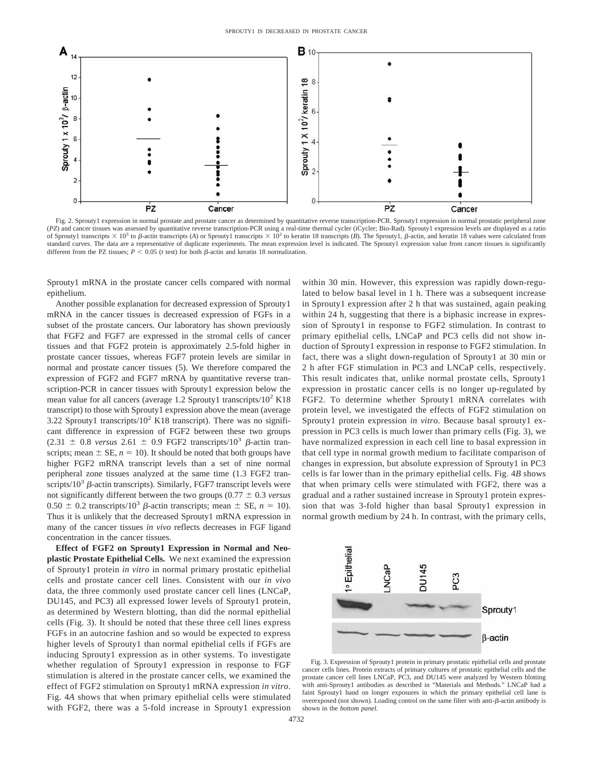

Fig. 2. Sprouty1 expression in normal prostate and prostate cancer as determined by quantitative reverse transcription-PCR. Sprouty1 expression in normal prostatic peripheral zone (*PZ*) and cancer tissues was assessed by quantitative reverse transcription-PCR using a real-time thermal cycler (iCycler; Bio-Rad). Sprouty1 expression levels are displayed as a ratio of Sprouty1 transcripts  $\times$  10<sup>3</sup> to  $\beta$ -actin transcripts (*A*) or Sprouty1 transcripts  $\times$  10<sup>2</sup> to keratin 18 transcripts (*B*). The Sprouty1,  $\beta$ -actin, and keratin 18 values were calculated from standard curves. The data are a representative of duplicate experiments. The mean expression level is indicated. The Sprouty1 expression value from cancer tissues is significantly different from the PZ tissues;  $P < 0.05$  (*t* test) for both  $\beta$ -actin and keratin 18 normalization.

Sprouty1 mRNA in the prostate cancer cells compared with normal epithelium.

Another possible explanation for decreased expression of Sprouty1 mRNA in the cancer tissues is decreased expression of FGFs in a subset of the prostate cancers. Our laboratory has shown previously that FGF2 and FGF7 are expressed in the stromal cells of cancer tissues and that FGF2 protein is approximately 2.5-fold higher in prostate cancer tissues, whereas FGF7 protein levels are similar in normal and prostate cancer tissues (5). We therefore compared the expression of FGF2 and FGF7 mRNA by quantitative reverse transcription-PCR in cancer tissues with Sprouty1 expression below the mean value for all cancers (average 1.2 Sprouty1 transcripts/ $10^2$  K18 transcript) to those with Sprouty1 expression above the mean (average 3.22 Sprouty1 transcripts/ $10^2$  K18 transcript). There was no significant difference in expression of FGF2 between these two groups  $(2.31 \pm 0.8 \text{ versus } 2.61 \pm 0.9 \text{ FGF2 transcripts/10}^3 \beta\text{-actin tran-}$ scripts; mean  $\pm$  SE,  $n = 10$ ). It should be noted that both groups have higher FGF2 mRNA transcript levels than a set of nine normal peripheral zone tissues analyzed at the same time (1.3 FGF2 transcripts/ $10^3$   $\beta$ -actin transcripts). Similarly, FGF7 transcript levels were not significantly different between the two groups  $(0.77 \pm 0.3 \text{ versus}$  $0.50 \pm 0.2$  transcripts/10<sup>3</sup>  $\beta$ -actin transcripts; mean  $\pm$  SE,  $n = 10$ ). Thus it is unlikely that the decreased Sprouty1 mRNA expression in many of the cancer tissues *in vivo* reflects decreases in FGF ligand concentration in the cancer tissues.

**Effect of FGF2 on Sprouty1 Expression in Normal and Neoplastic Prostate Epithelial Cells.** We next examined the expression of Sprouty1 protein *in vitro* in normal primary prostatic epithelial cells and prostate cancer cell lines. Consistent with our *in vivo* data, the three commonly used prostate cancer cell lines (LNCaP, DU145, and PC3) all expressed lower levels of Sprouty1 protein, as determined by Western blotting, than did the normal epithelial cells (Fig. 3). It should be noted that these three cell lines express FGFs in an autocrine fashion and so would be expected to express higher levels of Sprouty1 than normal epithelial cells if FGFs are inducing Sprouty1 expression as in other systems. To investigate whether regulation of Sprouty1 expression in response to FGF stimulation is altered in the prostate cancer cells, we examined the effect of FGF2 stimulation on Sprouty1 mRNA expression *in vitro*. Fig. 4*A* shows that when primary epithelial cells were stimulated with FGF2, there was a 5-fold increase in Sprouty1 expression

within 30 min. However, this expression was rapidly down-regulated to below basal level in 1 h. There was a subsequent increase in Sprouty1 expression after 2 h that was sustained, again peaking within 24 h, suggesting that there is a biphasic increase in expression of Sprouty1 in response to FGF2 stimulation. In contrast to primary epithelial cells, LNCaP and PC3 cells did not show induction of Sprouty1 expression in response to FGF2 stimulation. In fact, there was a slight down-regulation of Sprouty1 at 30 min or 2 h after FGF stimulation in PC3 and LNCaP cells, respectively. This result indicates that, unlike normal prostate cells, Sprouty1 expression in prostatic cancer cells is no longer up-regulated by FGF2. To determine whether Sprouty1 mRNA correlates with protein level, we investigated the effects of FGF2 stimulation on Sprouty1 protein expression *in vitro*. Because basal sprouty1 expression in PC3 cells is much lower than primary cells (Fig. 3), we have normalized expression in each cell line to basal expression in that cell type in normal growth medium to facilitate comparison of changes in expression, but absolute expression of Sprouty1 in PC3 cells is far lower than in the primary epithelial cells. Fig. 4*B* shows that when primary cells were stimulated with FGF2, there was a gradual and a rather sustained increase in Sprouty1 protein expression that was 3-fold higher than basal Sprouty1 expression in normal growth medium by 24 h. In contrast, with the primary cells,



Fig. 3. Expression of Sprouty1 protein in primary prostatic epithelial cells and prostate cancer cells lines. Protein extracts of primary cultures of prostatic epithelial cells and the prostate cancer cell lines LNCaP, PC3, and DU145 were analyzed by Western blotting with anti-Sprouty1 antibodies as described in "Materials and Methods." LNCaP had a faint Sprouty1 band on longer exposures in which the primary epithelial cell lane is overexposed (not shown). Loading control on the same filter with anti- $\beta$ -actin antibody is shown in the *bottom panel*.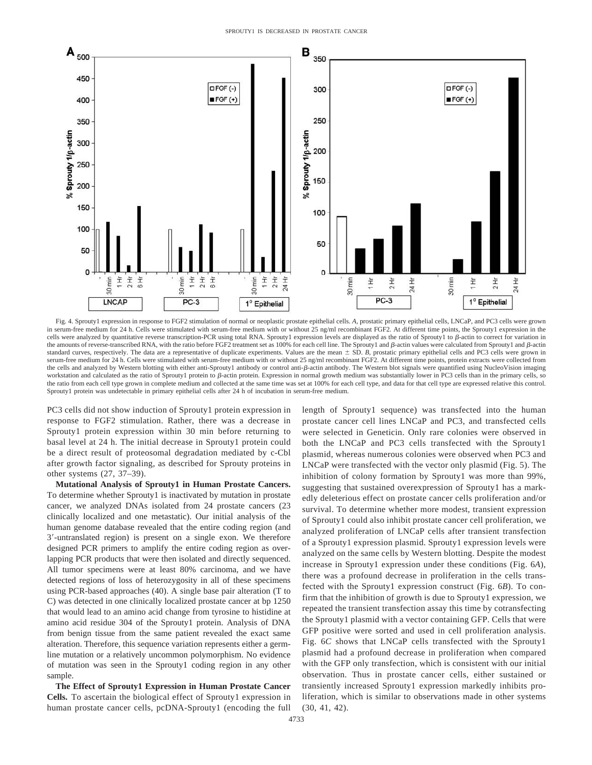

Fig. 4. Sprouty1 expression in response to FGF2 stimulation of normal or neoplastic prostate epithelial cells. *A,* prostatic primary epithelial cells, LNCaP, and PC3 cells were grown in serum-free medium for 24 h. Cells were stimulated with serum-free medium with or without 25 ng/ml recombinant FGF2. At different time points, the Sprouty1 expression in the cells were analyzed by quantitative reverse transcription-PCR using total RNA. Sprouty1 expression levels are displayed as the ratio of Sprouty1 to  $\beta$ -actin to correct for variation in the amounts of reverse-transcribed RNA, with the ratio before FGF2 treatment set as 100% for each cell line. The Sprouty1 and  $\beta$ -actin values were calculated from Sprouty1 and  $\beta$ -actin standard curves, respectively. The data are a representative of duplicate experiments. Values are the mean  $\pm$  SD. *B*, prostatic primary epithelial cells and PC3 cells were grown in serum-free medium for 24 h. Cells were stimulated with serum-free medium with or without 25 ng/ml recombinant FGF2. At different time points, protein extracts were collected from the cells and analyzed by Western blotting with either anti-Sprouty1 antibody or control anti- $\beta$ -actin antibody. The Western blot signals were quantified using NucleoVision imaging workstation and calculated as the ratio of Sprouty1 protein to  $\beta$ -actin protein. Expression in normal growth medium was substantially lower in PC3 cells than in the primary cells, so the ratio from each cell type grown in complete medium and collected at the same time was set at 100% for each cell type, and data for that cell type are expressed relative this control. Sprouty1 protein was undetectable in primary epithelial cells after 24 h of incubation in serum-free medium.

PC3 cells did not show induction of Sprouty1 protein expression in response to FGF2 stimulation. Rather, there was a decrease in Sprouty1 protein expression within 30 min before returning to basal level at 24 h. The initial decrease in Sprouty1 protein could be a direct result of proteosomal degradation mediated by c-Cbl after growth factor signaling, as described for Sprouty proteins in other systems (27, 37–39).

**Mutational Analysis of Sprouty1 in Human Prostate Cancers.** To determine whether Sprouty1 is inactivated by mutation in prostate cancer, we analyzed DNAs isolated from 24 prostate cancers (23 clinically localized and one metastatic). Our initial analysis of the human genome database revealed that the entire coding region (and 3-untranslated region) is present on a single exon. We therefore designed PCR primers to amplify the entire coding region as overlapping PCR products that were then isolated and directly sequenced. All tumor specimens were at least 80% carcinoma, and we have detected regions of loss of heterozygosity in all of these specimens using PCR-based approaches (40). A single base pair alteration (T to C) was detected in one clinically localized prostate cancer at bp 1250 that would lead to an amino acid change from tyrosine to histidine at amino acid residue 304 of the Sprouty1 protein. Analysis of DNA from benign tissue from the same patient revealed the exact same alteration. Therefore, this sequence variation represents either a germline mutation or a relatively uncommon polymorphism. No evidence of mutation was seen in the Sprouty1 coding region in any other sample.

**The Effect of Sprouty1 Expression in Human Prostate Cancer Cells.** To ascertain the biological effect of Sprouty1 expression in human prostate cancer cells, pcDNA-Sprouty1 (encoding the full length of Sprouty1 sequence) was transfected into the human prostate cancer cell lines LNCaP and PC3, and transfected cells were selected in Geneticin. Only rare colonies were observed in both the LNCaP and PC3 cells transfected with the Sprouty1 plasmid, whereas numerous colonies were observed when PC3 and LNCaP were transfected with the vector only plasmid (Fig. 5). The inhibition of colony formation by Sprouty1 was more than 99%, suggesting that sustained overexpression of Sprouty1 has a markedly deleterious effect on prostate cancer cells proliferation and/or survival. To determine whether more modest, transient expression of Sprouty1 could also inhibit prostate cancer cell proliferation, we analyzed proliferation of LNCaP cells after transient transfection of a Sprouty1 expression plasmid. Sprouty1 expression levels were analyzed on the same cells by Western blotting. Despite the modest increase in Sprouty1 expression under these conditions (Fig. 6*A*), there was a profound decrease in proliferation in the cells transfected with the Sprouty1 expression construct (Fig. 6*B*). To confirm that the inhibition of growth is due to Sprouty1 expression, we repeated the transient transfection assay this time by cotransfecting the Sprouty1 plasmid with a vector containing GFP. Cells that were GFP positive were sorted and used in cell proliferation analysis. Fig. 6*C* shows that LNCaP cells transfected with the Sprouty1 plasmid had a profound decrease in proliferation when compared with the GFP only transfection, which is consistent with our initial observation. Thus in prostate cancer cells, either sustained or transiently increased Sprouty1 expression markedly inhibits proliferation, which is similar to observations made in other systems (30, 41, 42).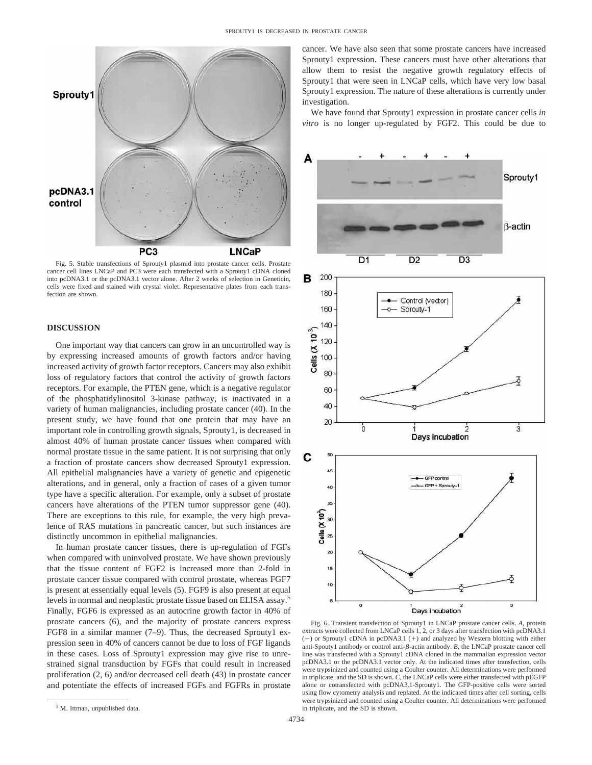

Fig. 5. Stable transfections of Sprouty1 plasmid into prostate cancer cells. Prostate cancer cell lines LNCaP and PC3 were each transfected with a Sprouty1 cDNA cloned into pcDNA3.1 or the pcDNA3.1 vector alone. After 2 weeks of selection in Geneticin, cells were fixed and stained with crystal violet. Representative plates from each transfection are shown.

## **DISCUSSION**

One important way that cancers can grow in an uncontrolled way is by expressing increased amounts of growth factors and/or having increased activity of growth factor receptors. Cancers may also exhibit loss of regulatory factors that control the activity of growth factors receptors. For example, the PTEN gene, which is a negative regulator of the phosphatidylinositol 3-kinase pathway, is inactivated in a variety of human malignancies, including prostate cancer (40). In the present study, we have found that one protein that may have an important role in controlling growth signals, Sprouty1, is decreased in almost 40% of human prostate cancer tissues when compared with normal prostate tissue in the same patient. It is not surprising that only a fraction of prostate cancers show decreased Sprouty1 expression. All epithelial malignancies have a variety of genetic and epigenetic alterations, and in general, only a fraction of cases of a given tumor type have a specific alteration. For example, only a subset of prostate cancers have alterations of the PTEN tumor suppressor gene (40). There are exceptions to this rule, for example, the very high prevalence of RAS mutations in pancreatic cancer, but such instances are distinctly uncommon in epithelial malignancies.

In human prostate cancer tissues, there is up-regulation of FGFs when compared with uninvolved prostate. We have shown previously that the tissue content of FGF2 is increased more than 2-fold in prostate cancer tissue compared with control prostate, whereas FGF7 is present at essentially equal levels (5). FGF9 is also present at equal levels in normal and neoplastic prostate tissue based on ELISA assay.5 Finally, FGF6 is expressed as an autocrine growth factor in 40% of prostate cancers (6), and the majority of prostate cancers express FGF8 in a similar manner (7–9). Thus, the decreased Sprouty1 expression seen in 40% of cancers cannot be due to loss of FGF ligands in these cases. Loss of Sprouty1 expression may give rise to unrestrained signal transduction by FGFs that could result in increased proliferation (2, 6) and/or decreased cell death (43) in prostate cancer and potentiate the effects of increased FGFs and FGFRs in prostate

<sup>5</sup> M. Ittman, unpublished data.

cancer. We have also seen that some prostate cancers have increased Sprouty1 expression. These cancers must have other alterations that allow them to resist the negative growth regulatory effects of Sprouty1 that were seen in LNCaP cells, which have very low basal Sprouty1 expression. The nature of these alterations is currently under investigation.

We have found that Sprouty1 expression in prostate cancer cells *in vitro* is no longer up-regulated by FGF2. This could be due to



Fig. 6. Transient transfection of Sprouty1 in LNCaP prostate cancer cells. *A,* protein extracts were collected from LNCaP cells 1, 2, or 3 days after transfection with pcDNA3.1  $(-)$  or Sprouty1 cDNA in pcDNA3.1  $(+)$  and analyzed by Western blotting with either anti-Spouty1 antibody or control anti- $\beta$ -actin antibody. *B*, the LNCaP prostate cancer cell line was transfected with a Sprouty1 cDNA cloned in the mammalian expression vector pcDNA3.1 or the pcDNA3.1 vector only. At the indicated times after transfection, cells were trypsinized and counted using a Coulter counter. All determinations were performed in triplicate, and the SD is shown. *C,* the LNCaP cells were either transfected with pEGFP alone or cotransfected with pcDNA3.1-Sprouty1. The GFP-positive cells were sorted using flow cytometry analysis and replated. At the indicated times after cell sorting, cells were trypsinized and counted using a Coulter counter. All determinations were performed in triplicate, and the SD is shown.